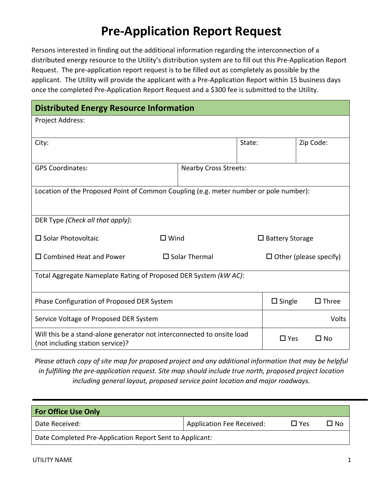## **Pre‐Application Report Request**

Persons interested in finding out the additional information regarding the interconnection of a distributed energy resource to the Utility's distribution system are to fill out this Pre‐Application Report Request. The pre‐application report request is to be filled out as completely as possible by the applicant. The Utility will provide the applicant with a Pre‐Application Report within 15 business days once the completed Pre‐Application Report Request and a \$300 fee is submitted to the Utility.

| <b>Distributed Energy Resource Information</b>                                                             |                              |               |                               |                 |              |
|------------------------------------------------------------------------------------------------------------|------------------------------|---------------|-------------------------------|-----------------|--------------|
| Project Address:                                                                                           |                              |               |                               |                 |              |
| City:                                                                                                      |                              | State:        |                               | Zip Code:       |              |
| <b>GPS Coordinates:</b>                                                                                    | <b>Nearby Cross Streets:</b> |               |                               |                 |              |
| Location of the Proposed Point of Common Coupling (e.g. meter number or pole number):                      |                              |               |                               |                 |              |
| DER Type (Check all that apply):                                                                           |                              |               |                               |                 |              |
| $\square$ Solar Photovoltaic                                                                               | $\square$ Wind               |               | $\Box$ Battery Storage        |                 |              |
| $\square$ Combined Heat and Power                                                                          | $\square$ Solar Thermal      |               | $\Box$ Other (please specify) |                 |              |
| Total Aggregate Nameplate Rating of Proposed DER System (kW AC):                                           |                              |               |                               |                 |              |
| Phase Configuration of Proposed DER System                                                                 |                              | $\Box$ Single |                               | $\square$ Three |              |
| Service Voltage of Proposed DER System                                                                     |                              |               |                               | Volts           |              |
| Will this be a stand-alone generator not interconnected to onsite load<br>(not including station service)? |                              |               | $\Box$ Yes                    |                 | $\square$ No |

*Please attach copy of site map for proposed project and any additional information that may be helpful in fulfilling the pre‐application request. Site map should include true north, proposed project location including general layout, proposed service point location and major roadways.* 

| <b>For Office Use Only</b>                               |                                  |            |        |  |
|----------------------------------------------------------|----------------------------------|------------|--------|--|
| Date Received:                                           | <b>Application Fee Received:</b> | $\Box$ Yes | ר ⊑ No |  |
| Date Completed Pre-Application Report Sent to Applicant: |                                  |            |        |  |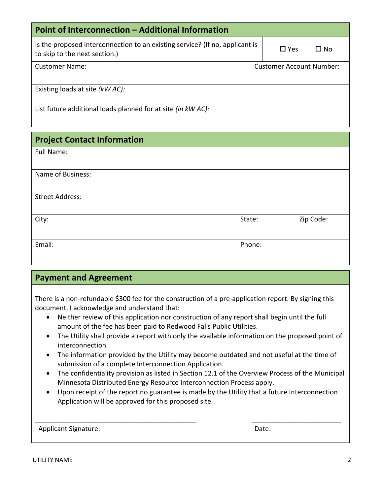| Point of Interconnection - Additional Information                                                             |  |                                 |      |  |
|---------------------------------------------------------------------------------------------------------------|--|---------------------------------|------|--|
| Is the proposed interconnection to an existing service? (If no, applicant is<br>to skip to the next section.) |  | $\Box$ Yes                      | ∏ No |  |
| Customer Name:                                                                                                |  | <b>Customer Account Number:</b> |      |  |
| Existing loads at site (kW AC):                                                                               |  |                                 |      |  |
| List future additional loads planned for at site (in kW AC):                                                  |  |                                 |      |  |

## **Project Contact Information**

Full Name:

| Name of Business:      |        |           |
|------------------------|--------|-----------|
|                        |        |           |
| <b>Street Address:</b> |        |           |
|                        |        |           |
| City:                  | State: | Zip Code: |
|                        |        |           |
| Email:                 | Phone: |           |
|                        |        |           |

## **Payment and Agreement**

There is a non-refundable \$300 fee for the construction of a pre-application report. By signing this document, I acknowledge and understand that:

- Neither review of this application nor construction of any report shall begin until the full amount of the fee has been paid to Redwood Falls Public Utilities.
- The Utility shall provide a report with only the available information on the proposed point of interconnection.
- The information provided by the Utility may become outdated and not useful at the time of submission of a complete Interconnection Application.
- The confidentiality provision as listed in Section 12.1 of the Overview Process of the Municipal Minnesota Distributed Energy Resource Interconnection Process apply.
- Upon receipt of the report no guarantee is made by the Utility that a future Interconnection Application will be approved for this proposed site.

| <b>Applicant Signature:</b> | Date: |
|-----------------------------|-------|